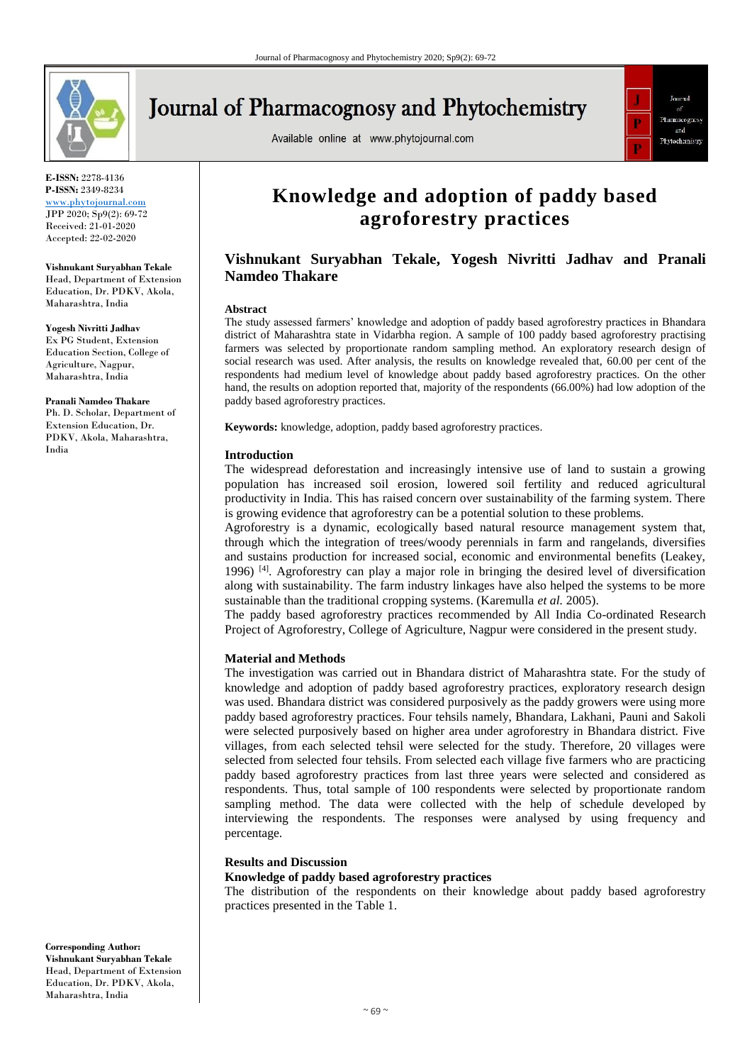

# **Journal of Pharmacognosy and Phytochemistry**

Available online at www.phytojournal.com



**E-ISSN:** 2278-4136 **P-ISSN:** 2349-8234 <www.phytojournal.com>

JPP 2020; Sp9(2): 69-72 Received: 21-01-2020 Accepted: 22-02-2020

#### **Vishnukant Suryabhan Tekale**

Head, Department of Extension Education, Dr. PDKV, Akola, Maharashtra, India

#### **Yogesh Nivritti Jadhav**

Ex PG Student, Extension Education Section, College of Agriculture, Nagpur, Maharashtra, India

#### **Pranali Namdeo Thakare**

Ph. D. Scholar, Department of Extension Education, Dr. PDKV, Akola, Maharashtra, India

## **Knowledge and adoption of paddy based agroforestry practices**

## **Vishnukant Suryabhan Tekale, Yogesh Nivritti Jadhav and Pranali Namdeo Thakare**

#### **Abstract**

The study assessed farmers' knowledge and adoption of paddy based agroforestry practices in Bhandara district of Maharashtra state in Vidarbha region. A sample of 100 paddy based agroforestry practising farmers was selected by proportionate random sampling method. An exploratory research design of social research was used. After analysis, the results on knowledge revealed that, 60.00 per cent of the respondents had medium level of knowledge about paddy based agroforestry practices. On the other hand, the results on adoption reported that, majority of the respondents (66.00%) had low adoption of the paddy based agroforestry practices.

**Keywords:** knowledge, adoption, paddy based agroforestry practices.

#### **Introduction**

The widespread deforestation and increasingly intensive use of land to sustain a growing population has increased soil erosion, lowered soil fertility and reduced agricultural productivity in India. This has raised concern over sustainability of the farming system. There is growing evidence that agroforestry can be a potential solution to these problems.

Agroforestry is a dynamic, ecologically based natural resource management system that, through which the integration of trees/woody perennials in farm and rangelands, diversifies and sustains production for increased social, economic and environmental benefits (Leakey, 1996)  $[4]$ . Agroforestry can play a major role in bringing the desired level of diversification along with sustainability. The farm industry linkages have also helped the systems to be more sustainable than the traditional cropping systems. (Karemulla *et al.* 2005).

The paddy based agroforestry practices recommended by All India Co-ordinated Research Project of Agroforestry, College of Agriculture, Nagpur were considered in the present study.

#### **Material and Methods**

The investigation was carried out in Bhandara district of Maharashtra state. For the study of knowledge and adoption of paddy based agroforestry practices, exploratory research design was used. Bhandara district was considered purposively as the paddy growers were using more paddy based agroforestry practices. Four tehsils namely, Bhandara, Lakhani, Pauni and Sakoli were selected purposively based on higher area under agroforestry in Bhandara district. Five villages, from each selected tehsil were selected for the study. Therefore, 20 villages were selected from selected four tehsils. From selected each village five farmers who are practicing paddy based agroforestry practices from last three years were selected and considered as respondents. Thus, total sample of 100 respondents were selected by proportionate random sampling method. The data were collected with the help of schedule developed by interviewing the respondents. The responses were analysed by using frequency and percentage.

#### **Results and Discussion**

## **Knowledge of paddy based agroforestry practices**

The distribution of the respondents on their knowledge about paddy based agroforestry practices presented in the Table 1.

**Corresponding Author: Vishnukant Suryabhan Tekale** Head, Department of Extension Education, Dr. PDKV, Akola, Maharashtra, India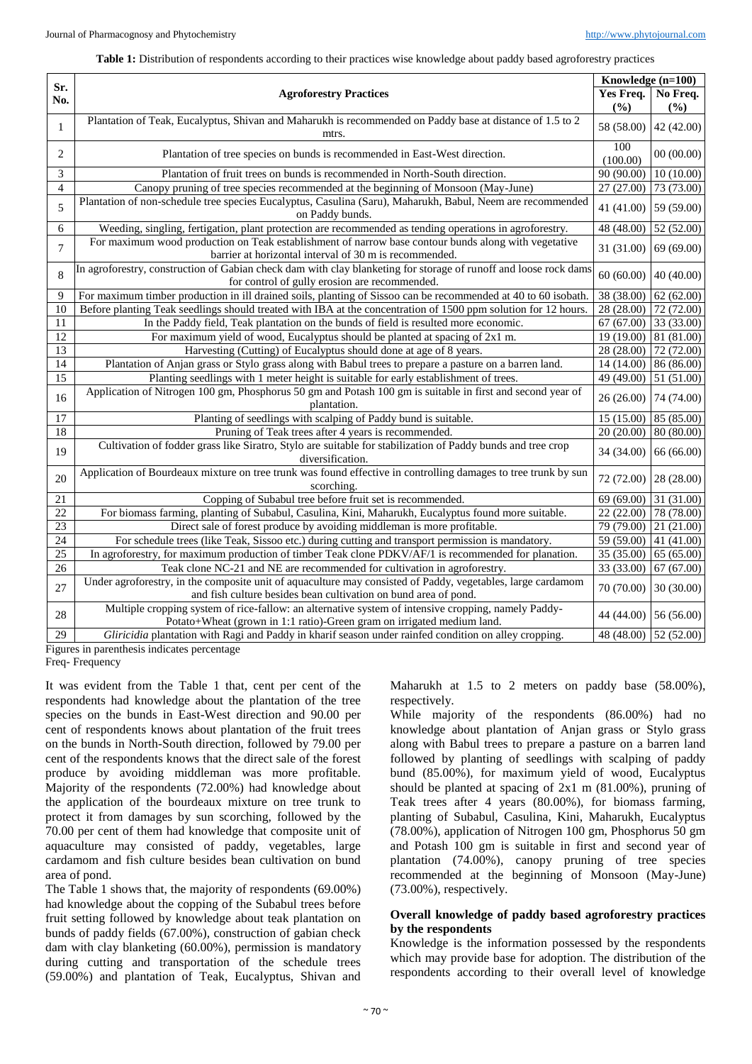#### **Table 1:** Distribution of respondents according to their practices wise knowledge about paddy based agroforestry practices

| Sr.             | <b>Agroforestry Practices</b>                                                                                                                                                  |                           | Knowledge (n=100)<br>Yes Freq. |  |
|-----------------|--------------------------------------------------------------------------------------------------------------------------------------------------------------------------------|---------------------------|--------------------------------|--|
| No.             |                                                                                                                                                                                |                           | No Freq.                       |  |
|                 |                                                                                                                                                                                | (%)                       | (%)                            |  |
| $\mathbf{1}$    | Plantation of Teak, Eucalyptus, Shivan and Maharukh is recommended on Paddy base at distance of 1.5 to 2<br>mtrs.                                                              | 58 (58.00)                | 42 (42.00)                     |  |
| 2               | Plantation of tree species on bunds is recommended in East-West direction.                                                                                                     | 100<br>(100.00)           | 00(00.00)                      |  |
| 3               | Plantation of fruit trees on bunds is recommended in North-South direction.                                                                                                    | $\frac{90(90.00)}{90.00}$ | 10(10.00)                      |  |
| $\overline{4}$  | Canopy pruning of tree species recommended at the beginning of Monsoon (May-June)                                                                                              | 27(27.00)                 | 73 (73.00)                     |  |
| 5               | Plantation of non-schedule tree species Eucalyptus, Casulina (Saru), Maharukh, Babul, Neem are recommended<br>on Paddy bunds.                                                  | 41 (41.00)                | 59 (59.00)                     |  |
| 6               | Weeding, singling, fertigation, plant protection are recommended as tending operations in agroforestry.                                                                        | 48 (48.00)                | 52 (52.00)                     |  |
| 7               | For maximum wood production on Teak establishment of narrow base contour bunds along with vegetative<br>barrier at horizontal interval of 30 m is recommended.                 | 31 (31.00)                | 69 (69.00)                     |  |
| 8               | In agroforestry, construction of Gabian check dam with clay blanketing for storage of runoff and loose rock dams<br>for control of gully erosion are recommended.              | 60 (60.00) 40 (40.00)     |                                |  |
| 9               | For maximum timber production in ill drained soils, planting of Sissoo can be recommended at 40 to 60 isobath.                                                                 | 38 (38.00)                | 62(62.00)                      |  |
| 10              | Before planting Teak seedlings should treated with IBA at the concentration of 1500 ppm solution for 12 hours.                                                                 | 28 (28.00)                | 72 (72.00)                     |  |
| 11              | In the Paddy field, Teak plantation on the bunds of field is resulted more economic.                                                                                           | 67(67.00)                 | 33(33.00)                      |  |
| 12              | For maximum yield of wood, Eucalyptus should be planted at spacing of 2x1 m.                                                                                                   | 19 (19.00)                | 81 (81.00)                     |  |
| 13              | Harvesting (Cutting) of Eucalyptus should done at age of 8 years.                                                                                                              | 28 (28.00)                | 72(72.00)                      |  |
| 14              | Plantation of Anjan grass or Stylo grass along with Babul trees to prepare a pasture on a barren land.                                                                         | 14 (14.00)                | 86 (86.00)                     |  |
| $\overline{15}$ | Planting seedlings with 1 meter height is suitable for early establishment of trees.                                                                                           | 49 (49.00)                | 51 (51.00)                     |  |
| 16              | Application of Nitrogen 100 gm, Phosphorus 50 gm and Potash 100 gm is suitable in first and second year of<br>plantation.                                                      | 26 (26.00) 74 (74.00)     |                                |  |
| $\overline{17}$ | Planting of seedlings with scalping of Paddy bund is suitable.                                                                                                                 | 15(15.00)                 | 85(85.00)                      |  |
| 18              | Pruning of Teak trees after 4 years is recommended.                                                                                                                            | 20(20.00)                 | $\overline{80}$ (80.00)        |  |
| 19              | Cultivation of fodder grass like Siratro, Stylo are suitable for stabilization of Paddy bunds and tree crop<br>diversification.                                                | 34 (34.00)                | 66 (66.00)                     |  |
| 20              | Application of Bourdeaux mixture on tree trunk was found effective in controlling damages to tree trunk by sun<br>scorching.                                                   | 72 (72.00) 28 (28.00)     |                                |  |
| 21              | Copping of Subabul tree before fruit set is recommended.                                                                                                                       | 69(69.00)                 | 31 (31.00)                     |  |
| $\overline{22}$ | For biomass farming, planting of Subabul, Casulina, Kini, Maharukh, Eucalyptus found more suitable.                                                                            | 22(22.00)                 | 78(78.00)                      |  |
| 23              | Direct sale of forest produce by avoiding middleman is more profitable.                                                                                                        | 79(79.00)                 | 21(21.00)                      |  |
| $\overline{24}$ | For schedule trees (like Teak, Sissoo etc.) during cutting and transport permission is mandatory.                                                                              | 59 (59.00)                | 41 (41.00)                     |  |
| 25              | In agroforestry, for maximum production of timber Teak clone PDKV/AF/1 is recommended for planation.                                                                           | 35 (35.00)                | 65 (65.00)                     |  |
| $\overline{26}$ | Teak clone NC-21 and NE are recommended for cultivation in agroforestry.                                                                                                       | 33 (33.00)                | 67 (67.00)                     |  |
| 27              | Under agroforestry, in the composite unit of aquaculture may consisted of Paddy, vegetables, large cardamom<br>and fish culture besides bean cultivation on bund area of pond. | 70 (70.00) 30 (30.00)     |                                |  |
| 28              | Multiple cropping system of rice-fallow: an alternative system of intensive cropping, namely Paddy-<br>Potato+Wheat (grown in 1:1 ratio)-Green gram on irrigated medium land.  |                           | 44 (44.00) 56 (56.00)          |  |
| 29              | Gliricidia plantation with Ragi and Paddy in kharif season under rainfed condition on alley cropping.                                                                          |                           | 48 (48.00) 52 (52.00)          |  |

Figures in parenthesis indicates percentage

Freq- Frequency

It was evident from the Table 1 that, cent per cent of the respondents had knowledge about the plantation of the tree species on the bunds in East-West direction and 90.00 per cent of respondents knows about plantation of the fruit trees on the bunds in North-South direction, followed by 79.00 per cent of the respondents knows that the direct sale of the forest produce by avoiding middleman was more profitable. Majority of the respondents (72.00%) had knowledge about the application of the bourdeaux mixture on tree trunk to protect it from damages by sun scorching, followed by the 70.00 per cent of them had knowledge that composite unit of aquaculture may consisted of paddy, vegetables, large cardamom and fish culture besides bean cultivation on bund area of pond.

The Table 1 shows that, the majority of respondents (69.00%) had knowledge about the copping of the Subabul trees before fruit setting followed by knowledge about teak plantation on bunds of paddy fields (67.00%), construction of gabian check dam with clay blanketing (60.00%), permission is mandatory during cutting and transportation of the schedule trees (59.00%) and plantation of Teak, Eucalyptus, Shivan and Maharukh at 1.5 to 2 meters on paddy base (58.00%), respectively.

While majority of the respondents (86.00%) had no knowledge about plantation of Anjan grass or Stylo grass along with Babul trees to prepare a pasture on a barren land followed by planting of seedlings with scalping of paddy bund (85.00%), for maximum yield of wood, Eucalyptus should be planted at spacing of  $2x1 \text{ m} (81.00\%)$ , pruning of Teak trees after 4 years (80.00%), for biomass farming, planting of Subabul, Casulina, Kini, Maharukh, Eucalyptus (78.00%), application of Nitrogen 100 gm, Phosphorus 50 gm and Potash 100 gm is suitable in first and second year of plantation (74.00%), canopy pruning of tree species recommended at the beginning of Monsoon (May-June) (73.00%), respectively.

#### **Overall knowledge of paddy based agroforestry practices by the respondents**

Knowledge is the information possessed by the respondents which may provide base for adoption. The distribution of the respondents according to their overall level of knowledge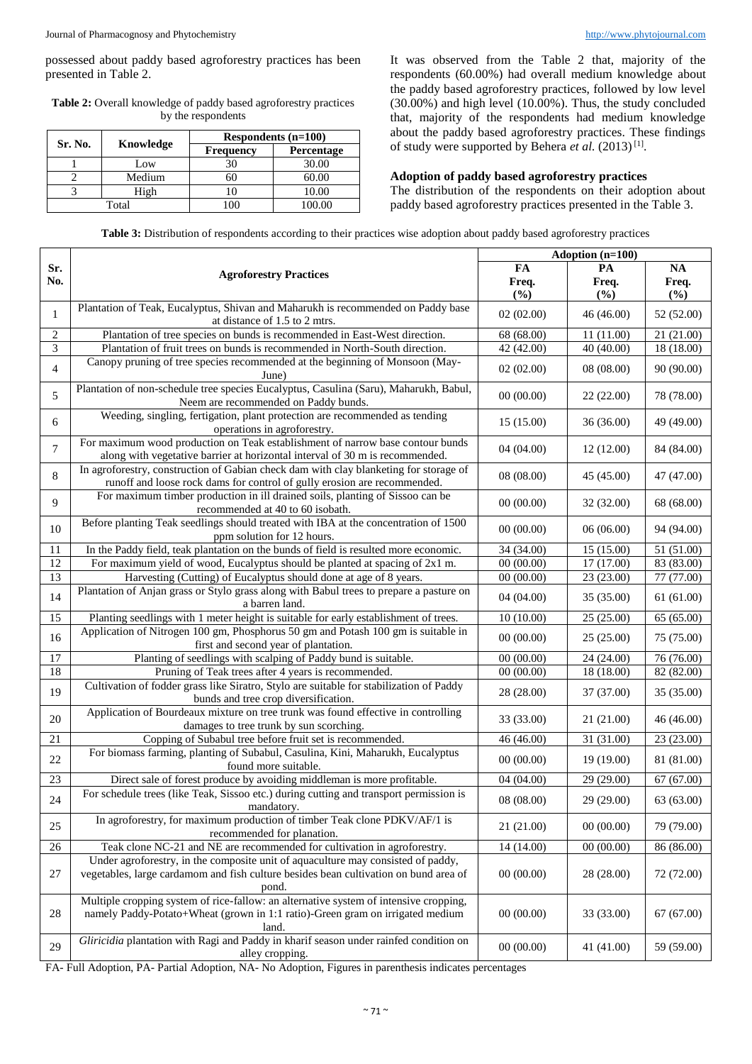possessed about paddy based agroforestry practices has been presented in Table 2.

**Table 2:** Overall knowledge of paddy based agroforestry practices by the respondents

|         | Knowledge | Respondents $(n=100)$ |            |  |
|---------|-----------|-----------------------|------------|--|
| Sr. No. |           | <b>Frequency</b>      | Percentage |  |
|         | Low       | 30                    | 30.00      |  |
|         | Medium    |                       | 60.00      |  |
|         | High      |                       | 10.00      |  |
| Total   |           |                       | 100.00     |  |

It was observed from the Table 2 that, majority of the respondents (60.00%) had overall medium knowledge about the paddy based agroforestry practices, followed by low level (30.00%) and high level (10.00%). Thus, the study concluded that, majority of the respondents had medium knowledge about the paddy based agroforestry practices. These findings of study were supported by Behera et al. (2013)<sup>[1]</sup>.

#### **Adoption of paddy based agroforestry practices**

The distribution of the respondents on their adoption about paddy based agroforestry practices presented in the Table 3.

| Table 3: Distribution of respondents according to their practices wise adoption about paddy based agroforestry practices |  |  |  |  |
|--------------------------------------------------------------------------------------------------------------------------|--|--|--|--|
|--------------------------------------------------------------------------------------------------------------------------|--|--|--|--|

|                 |                                                                                                                                                                                   | Adoption (n=100)   |                    |                    |  |
|-----------------|-----------------------------------------------------------------------------------------------------------------------------------------------------------------------------------|--------------------|--------------------|--------------------|--|
| Sr.<br>No.      | <b>Agroforestry Practices</b>                                                                                                                                                     | FA<br>Freq.<br>(%) | PA<br>Freq.<br>(%) | NA<br>Freq.<br>(%) |  |
| 1               | Plantation of Teak, Eucalyptus, Shivan and Maharukh is recommended on Paddy base<br>at distance of 1.5 to 2 mtrs.                                                                 | 02(02.00)          | 46 (46.00)         | 52 (52.00)         |  |
| $\overline{c}$  | Plantation of tree species on bunds is recommended in East-West direction.                                                                                                        | 68 (68.00)         | 11 (11.00)         | 21 (21.00)         |  |
| 3               | Plantation of fruit trees on bunds is recommended in North-South direction.                                                                                                       | 42 (42.00)         | 40 (40.00)         | 18 (18.00)         |  |
| $\overline{4}$  | Canopy pruning of tree species recommended at the beginning of Monsoon (May-<br>June)                                                                                             | 02(02.00)          | 08(08.00)          | 90 (90.00)         |  |
| 5               | Plantation of non-schedule tree species Eucalyptus, Casulina (Saru), Maharukh, Babul,<br>Neem are recommended on Paddy bunds.                                                     | 00(00.00)          | 22 (22.00)         | 78 (78.00)         |  |
| 6               | Weeding, singling, fertigation, plant protection are recommended as tending<br>operations in agroforestry.                                                                        | 15(15.00)          | 36 (36.00)         | 49 (49.00)         |  |
| 7               | For maximum wood production on Teak establishment of narrow base contour bunds<br>along with vegetative barrier at horizontal interval of 30 m is recommended.                    | 04(04.00)          | 12(12.00)          | 84 (84.00)         |  |
| 8               | In agroforestry, construction of Gabian check dam with clay blanketing for storage of<br>runoff and loose rock dams for control of gully erosion are recommended.                 | 08 (08.00)         | 45 (45.00)         | 47 (47.00)         |  |
| 9               | For maximum timber production in ill drained soils, planting of Sissoo can be<br>recommended at 40 to 60 isobath.                                                                 | 00(00.00)          | 32 (32.00)         | 68 (68.00)         |  |
| 10              | Before planting Teak seedlings should treated with IBA at the concentration of 1500<br>ppm solution for 12 hours.                                                                 | 00(00.00)          | 06(06.00)          | 94 (94.00)         |  |
| 11              | In the Paddy field, teak plantation on the bunds of field is resulted more economic.                                                                                              | 34 (34.00)         | 15 (15.00)         | 51 (51.00)         |  |
| $\overline{12}$ | For maximum yield of wood, Eucalyptus should be planted at spacing of 2x1 m.                                                                                                      | 00(00.00)          | 17(17.00)          | 83(83.00)          |  |
| 13              | Harvesting (Cutting) of Eucalyptus should done at age of 8 years.                                                                                                                 | 00(00.00)          | 23 (23.00)         | 77 (77.00)         |  |
| 14              | Plantation of Anjan grass or Stylo grass along with Babul trees to prepare a pasture on<br>a barren land.                                                                         | 04(04.00)          | 35(35.00)          | 61 (61.00)         |  |
| 15              | Planting seedlings with 1 meter height is suitable for early establishment of trees.                                                                                              | 10(10.00)          | 25(25.00)          | 65 (65.00)         |  |
| 16              | Application of Nitrogen 100 gm, Phosphorus 50 gm and Potash 100 gm is suitable in<br>first and second year of plantation.                                                         | 00(00.00)          | 25 (25.00)         | 75 (75.00)         |  |
| 17              | Planting of seedlings with scalping of Paddy bund is suitable.                                                                                                                    | 00(00.00)          | 24 (24.00)         | 76 (76.00)         |  |
| 18              | Pruning of Teak trees after 4 years is recommended.                                                                                                                               | 00(00.00)          | 18 (18.00)         | 82(82.00)          |  |
| 19              | Cultivation of fodder grass like Siratro, Stylo are suitable for stabilization of Paddy<br>bunds and tree crop diversification.                                                   | 28 (28.00)         | 37 (37.00)         | 35 (35.00)         |  |
| 20              | Application of Bourdeaux mixture on tree trunk was found effective in controlling<br>damages to tree trunk by sun scorching.                                                      | 33 (33.00)         | 21 (21.00)         | 46 (46.00)         |  |
| 21              | Copping of Subabul tree before fruit set is recommended.                                                                                                                          | 46 (46.00)         | 31 (31.00)         | 23 (23.00)         |  |
| 22              | For biomass farming, planting of Subabul, Casulina, Kini, Maharukh, Eucalyptus<br>found more suitable.                                                                            | 00(00.00)          | 19 (19.00)         | 81 (81.00)         |  |
| $\overline{23}$ | Direct sale of forest produce by avoiding middleman is more profitable.                                                                                                           | 04 (04.00)         | 29(29.00)          | 67 (67.00)         |  |
| 24              | For schedule trees (like Teak, Sissoo etc.) during cutting and transport permission is<br>mandatory.                                                                              | 08 (08.00)         | 29 (29.00)         | 63 (63.00)         |  |
| 25              | In agroforestry, for maximum production of timber Teak clone PDKV/AF/1 is<br>recommended for planation.                                                                           | 21(21.00)          | 00(00.00)          | 79 (79.00)         |  |
| 26              | Teak clone NC-21 and NE are recommended for cultivation in agroforestry.                                                                                                          | 14 (14.00)         | 00(00.00)          | 86 (86.00)         |  |
| 27              | Under agroforestry, in the composite unit of aquaculture may consisted of paddy,<br>vegetables, large cardamom and fish culture besides bean cultivation on bund area of<br>pond. | 00(00.00)          | 28 (28.00)         | 72 (72.00)         |  |
| 28              | Multiple cropping system of rice-fallow: an alternative system of intensive cropping,<br>namely Paddy-Potato+Wheat (grown in 1:1 ratio)-Green gram on irrigated medium<br>land.   | 00(00.00)          | 33 (33.00)         | 67(67.00)          |  |
| 29              | Gliricidia plantation with Ragi and Paddy in kharif season under rainfed condition on<br>alley cropping.                                                                          | 00(00.00)          | 41 (41.00)         | 59 (59.00)         |  |

FA- Full Adoption, PA- Partial Adoption, NA- No Adoption, Figures in parenthesis indicates percentages